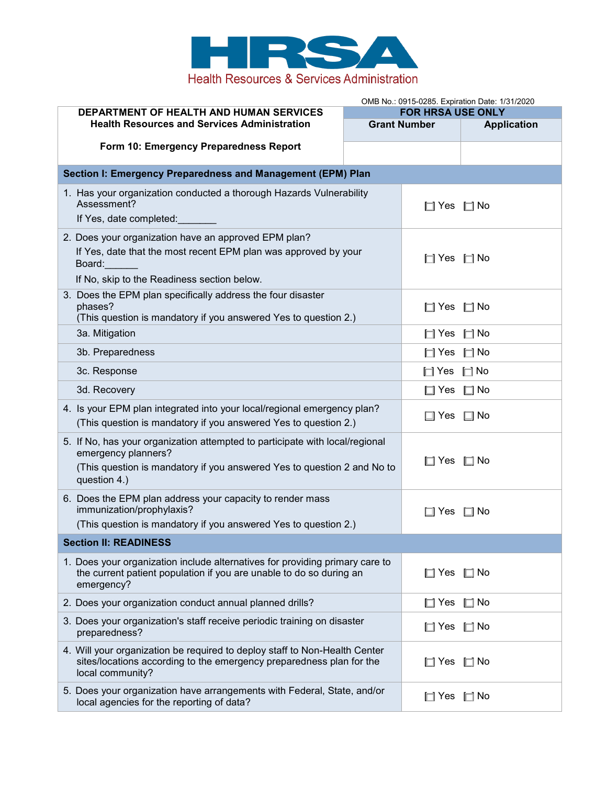

|                                                                                                                                                    |                                                                 | OMB No.: 0915-0285. Expiration Date: 1/31/2020 |                    |                                                             |  |       |           |
|----------------------------------------------------------------------------------------------------------------------------------------------------|-----------------------------------------------------------------|------------------------------------------------|--------------------|-------------------------------------------------------------|--|-------|-----------|
| DEPARTMENT OF HEALTH AND HUMAN SERVICES                                                                                                            | <b>FOR HRSA USE ONLY</b><br><b>Grant Number</b>                 |                                                |                    |                                                             |  |       |           |
| <b>Health Resources and Services Administration</b>                                                                                                |                                                                 |                                                | <b>Application</b> |                                                             |  |       |           |
| Form 10: Emergency Preparedness Report                                                                                                             |                                                                 |                                                |                    |                                                             |  |       |           |
| Section I: Emergency Preparedness and Management (EPM) Plan                                                                                        |                                                                 |                                                |                    |                                                             |  |       |           |
| 1. Has your organization conducted a thorough Hazards Vulnerability                                                                                |                                                                 |                                                |                    |                                                             |  |       |           |
| Assessment?                                                                                                                                        |                                                                 | $\Box$ Yes                                     | $\Box$ No          |                                                             |  |       |           |
| If Yes, date completed:                                                                                                                            |                                                                 |                                                |                    |                                                             |  |       |           |
| 2. Does your organization have an approved EPM plan?                                                                                               |                                                                 |                                                |                    |                                                             |  |       |           |
| If Yes, date that the most recent EPM plan was approved by your<br>Board:<br>If No, skip to the Readiness section below.                           |                                                                 | $\Box$ Yes $\Box$ No                           |                    |                                                             |  |       |           |
|                                                                                                                                                    |                                                                 |                                                |                    | 3. Does the EPM plan specifically address the four disaster |  |       |           |
|                                                                                                                                                    |                                                                 |                                                |                    | phases?                                                     |  | ∐ Yes | $\Box$ No |
|                                                                                                                                                    | (This question is mandatory if you answered Yes to question 2.) |                                                |                    |                                                             |  |       |           |
| 3a. Mitigation                                                                                                                                     |                                                                 | $\Box$ Yes                                     | $\Box$ No          |                                                             |  |       |           |
| 3b. Preparedness                                                                                                                                   |                                                                 | $\Box$ Yes                                     | $\Box$ No          |                                                             |  |       |           |
| 3c. Response                                                                                                                                       |                                                                 | $\Box$ Yes $\Box$ No                           |                    |                                                             |  |       |           |
| 3d. Recovery                                                                                                                                       |                                                                 | $\Box$ Yes $\Box$ No                           |                    |                                                             |  |       |           |
| 4. Is your EPM plan integrated into your local/regional emergency plan?                                                                            |                                                                 |                                                |                    |                                                             |  |       |           |
| (This question is mandatory if you answered Yes to question 2.)                                                                                    |                                                                 | □ Yes                                          | $\Box$ No          |                                                             |  |       |           |
| 5. If No, has your organization attempted to participate with local/regional                                                                       |                                                                 |                                                |                    |                                                             |  |       |           |
| emergency planners?                                                                                                                                |                                                                 | $\square$ Yes $\square$ No                     |                    |                                                             |  |       |           |
| (This question is mandatory if you answered Yes to question 2 and No to<br>question 4.)                                                            |                                                                 |                                                |                    |                                                             |  |       |           |
| 6. Does the EPM plan address your capacity to render mass                                                                                          |                                                                 |                                                |                    |                                                             |  |       |           |
| immunization/prophylaxis?                                                                                                                          |                                                                 | ⊟l Yes                                         | Mo ⊡               |                                                             |  |       |           |
| (This question is mandatory if you answered Yes to question 2.)                                                                                    |                                                                 |                                                |                    |                                                             |  |       |           |
| <b>Section II: READINESS</b>                                                                                                                       |                                                                 |                                                |                    |                                                             |  |       |           |
| 1. Does your organization include alternatives for providing primary care to                                                                       |                                                                 |                                                |                    |                                                             |  |       |           |
| the current patient population if you are unable to do so during an<br>emergency?                                                                  |                                                                 | $\square$ Yes                                  | $\square$ No       |                                                             |  |       |           |
|                                                                                                                                                    |                                                                 |                                                |                    |                                                             |  |       |           |
| 2. Does your organization conduct annual planned drills?                                                                                           |                                                                 | $\Box$ Yes $\Box$ No                           |                    |                                                             |  |       |           |
| 3. Does your organization's staff receive periodic training on disaster<br>preparedness?                                                           |                                                                 | $\Box$ Yes $\Box$ No                           |                    |                                                             |  |       |           |
| 4. Will your organization be required to deploy staff to Non-Health Center<br>sites/locations according to the emergency preparedness plan for the |                                                                 | ∏ Yes                                          | $\Box$ No          |                                                             |  |       |           |
| local community?                                                                                                                                   |                                                                 |                                                |                    |                                                             |  |       |           |
| 5. Does your organization have arrangements with Federal, State, and/or<br>local agencies for the reporting of data?                               |                                                                 | $\Box$ Yes $\Box$ No                           |                    |                                                             |  |       |           |